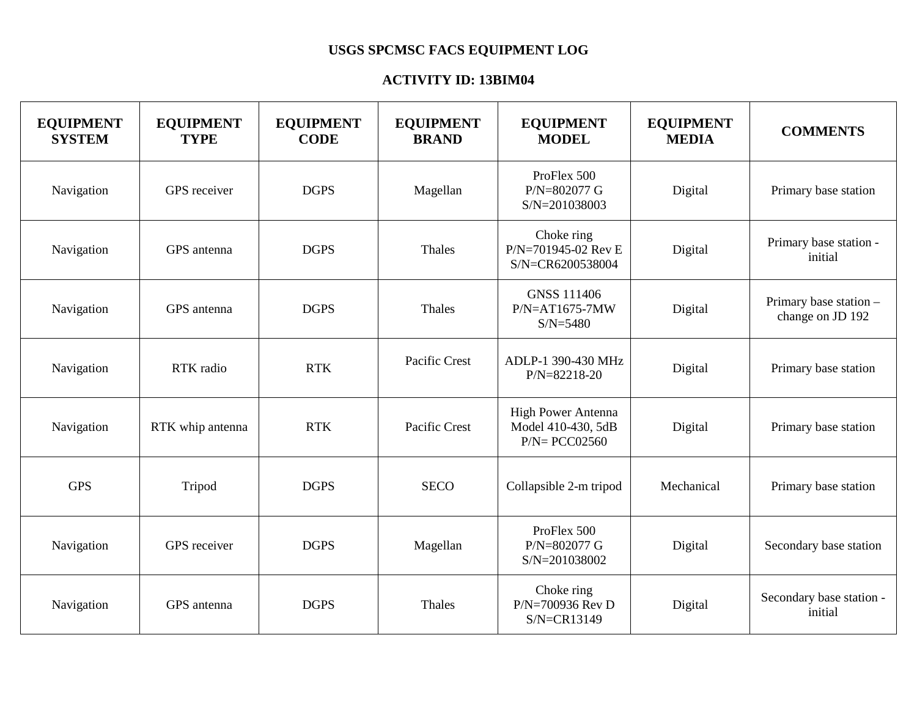## **USGS SPCMSC FACS EQUIPMENT LOG**

## **ACTIVITY ID: 13BIM04**

| <b>EQUIPMENT</b><br><b>SYSTEM</b> | <b>EQUIPMENT</b><br><b>TYPE</b> | <b>EQUIPMENT</b><br><b>CODE</b> | <b>EQUIPMENT</b><br><b>BRAND</b> | <b>EQUIPMENT</b><br><b>MODEL</b>                                    | <b>EQUIPMENT</b><br><b>MEDIA</b> | <b>COMMENTS</b>                            |
|-----------------------------------|---------------------------------|---------------------------------|----------------------------------|---------------------------------------------------------------------|----------------------------------|--------------------------------------------|
| Navigation                        | GPS receiver                    | <b>DGPS</b>                     | Magellan                         | ProFlex 500<br>P/N=802077 G<br>S/N=201038003                        | Digital                          | Primary base station                       |
| Navigation                        | GPS antenna                     | <b>DGPS</b>                     | Thales                           | Choke ring<br>P/N=701945-02 Rev E<br>S/N=CR6200538004               | Digital                          | Primary base station -<br>initial          |
| Navigation                        | GPS antenna                     | <b>DGPS</b>                     | Thales                           | <b>GNSS 111406</b><br>$P/N = AT1675-7MW$<br>$S/N = 5480$            | Digital                          | Primary base station -<br>change on JD 192 |
| Navigation                        | RTK radio                       | <b>RTK</b>                      | Pacific Crest                    | ADLP-1 390-430 MHz<br>P/N=82218-20                                  | Digital                          | Primary base station                       |
| Navigation                        | RTK whip antenna                | <b>RTK</b>                      | Pacific Crest                    | <b>High Power Antenna</b><br>Model 410-430, 5dB<br>$P/N = PCCO2560$ | Digital                          | Primary base station                       |
| <b>GPS</b>                        | Tripod                          | <b>DGPS</b>                     | <b>SECO</b>                      | Collapsible 2-m tripod                                              | Mechanical                       | Primary base station                       |
| Navigation                        | GPS receiver                    | <b>DGPS</b>                     | Magellan                         | ProFlex 500<br>P/N=802077 G<br>S/N=201038002                        | Digital                          | Secondary base station                     |
| Navigation                        | GPS antenna                     | <b>DGPS</b>                     | <b>Thales</b>                    | Choke ring<br>P/N=700936 Rev D<br>S/N=CR13149                       | Digital                          | Secondary base station -<br>initial        |